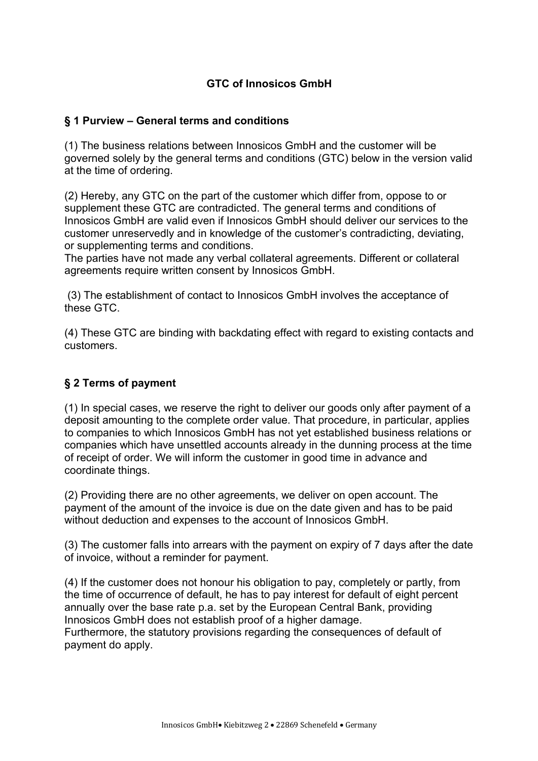### **GTC of Innosicos GmbH**

#### **§ 1 Purview – General terms and conditions**

(1) The business relations between Innosicos GmbH and the customer will be governed solely by the general terms and conditions (GTC) below in the version valid at the time of ordering.

(2) Hereby, any GTC on the part of the customer which differ from, oppose to or supplement these GTC are contradicted. The general terms and conditions of Innosicos GmbH are valid even if Innosicos GmbH should deliver our services to the customer unreservedly and in knowledge of the customer's contradicting, deviating, or supplementing terms and conditions.

The parties have not made any verbal collateral agreements. Different or collateral agreements require written consent by Innosicos GmbH.

(3) The establishment of contact to Innosicos GmbH involves the acceptance of these GTC.

(4) These GTC are binding with backdating effect with regard to existing contacts and customers.

# **§ 2 Terms of payment**

(1) In special cases, we reserve the right to deliver our goods only after payment of a deposit amounting to the complete order value. That procedure, in particular, applies to companies to which Innosicos GmbH has not yet established business relations or companies which have unsettled accounts already in the dunning process at the time of receipt of order. We will inform the customer in good time in advance and coordinate things.

(2) Providing there are no other agreements, we deliver on open account. The payment of the amount of the invoice is due on the date given and has to be paid without deduction and expenses to the account of Innosicos GmbH.

(3) The customer falls into arrears with the payment on expiry of 7 days after the date of invoice, without a reminder for payment.

(4) If the customer does not honour his obligation to pay, completely or partly, from the time of occurrence of default, he has to pay interest for default of eight percent annually over the base rate p.a. set by the European Central Bank, providing Innosicos GmbH does not establish proof of a higher damage. Furthermore, the statutory provisions regarding the consequences of default of payment do apply.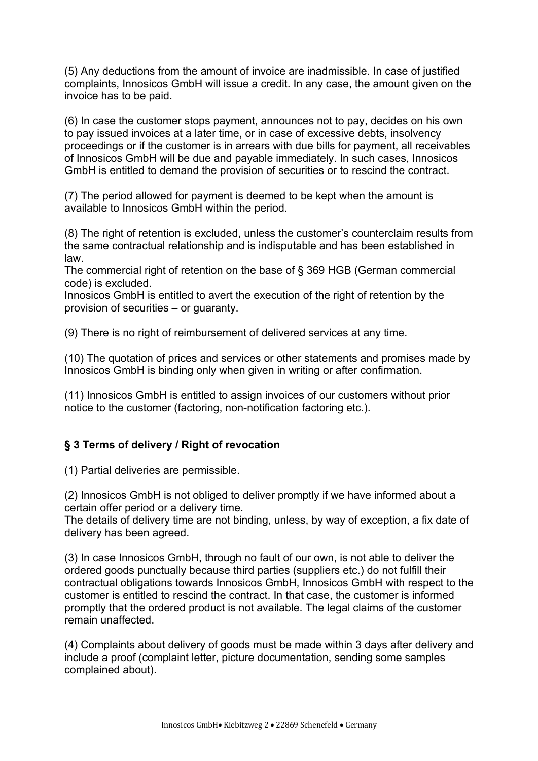(5) Any deductions from the amount of invoice are inadmissible. In case of justified complaints, Innosicos GmbH will issue a credit. In any case, the amount given on the invoice has to be paid.

(6) In case the customer stops payment, announces not to pay, decides on his own to pay issued invoices at a later time, or in case of excessive debts, insolvency proceedings or if the customer is in arrears with due bills for payment, all receivables of Innosicos GmbH will be due and payable immediately. In such cases, Innosicos GmbH is entitled to demand the provision of securities or to rescind the contract.

(7) The period allowed for payment is deemed to be kept when the amount is available to Innosicos GmbH within the period.

(8) The right of retention is excluded, unless the customer's counterclaim results from the same contractual relationship and is indisputable and has been established in law.

The commercial right of retention on the base of § 369 HGB (German commercial code) is excluded.

Innosicos GmbH is entitled to avert the execution of the right of retention by the provision of securities – or guaranty.

(9) There is no right of reimbursement of delivered services at any time.

(10) The quotation of prices and services or other statements and promises made by Innosicos GmbH is binding only when given in writing or after confirmation.

(11) Innosicos GmbH is entitled to assign invoices of our customers without prior notice to the customer (factoring, non-notification factoring etc.).

#### **§ 3 Terms of delivery / Right of revocation**

(1) Partial deliveries are permissible.

(2) Innosicos GmbH is not obliged to deliver promptly if we have informed about a certain offer period or a delivery time.

The details of delivery time are not binding, unless, by way of exception, a fix date of delivery has been agreed.

(3) In case Innosicos GmbH, through no fault of our own, is not able to deliver the ordered goods punctually because third parties (suppliers etc.) do not fulfill their contractual obligations towards Innosicos GmbH, Innosicos GmbH with respect to the customer is entitled to rescind the contract. In that case, the customer is informed promptly that the ordered product is not available. The legal claims of the customer remain unaffected.

(4) Complaints about delivery of goods must be made within 3 days after delivery and include a proof (complaint letter, picture documentation, sending some samples complained about).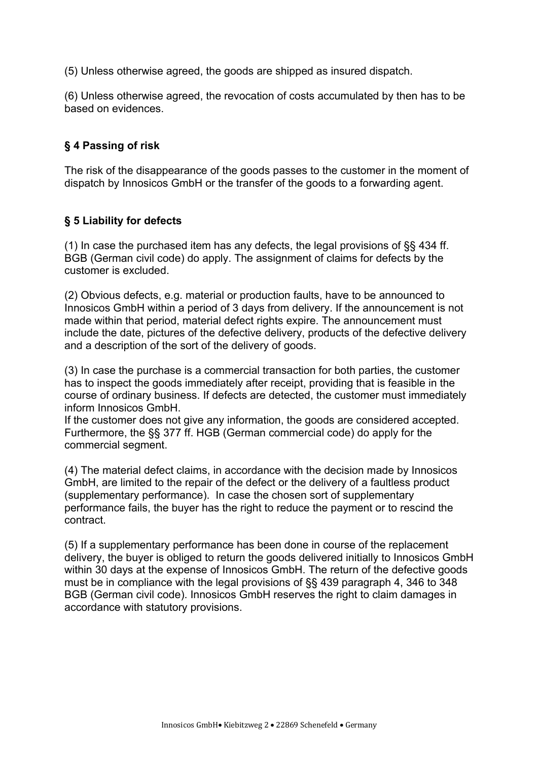(5) Unless otherwise agreed, the goods are shipped as insured dispatch.

(6) Unless otherwise agreed, the revocation of costs accumulated by then has to be based on evidences.

### **§ 4 Passing of risk**

The risk of the disappearance of the goods passes to the customer in the moment of dispatch by Innosicos GmbH or the transfer of the goods to a forwarding agent.

### **§ 5 Liability for defects**

(1) In case the purchased item has any defects, the legal provisions of §§ 434 ff. BGB (German civil code) do apply. The assignment of claims for defects by the customer is excluded.

(2) Obvious defects, e.g. material or production faults, have to be announced to Innosicos GmbH within a period of 3 days from delivery. If the announcement is not made within that period, material defect rights expire. The announcement must include the date, pictures of the defective delivery, products of the defective delivery and a description of the sort of the delivery of goods.

(3) In case the purchase is a commercial transaction for both parties, the customer has to inspect the goods immediately after receipt, providing that is feasible in the course of ordinary business. If defects are detected, the customer must immediately inform Innosicos GmbH.

If the customer does not give any information, the goods are considered accepted. Furthermore, the §§ 377 ff. HGB (German commercial code) do apply for the commercial segment.

(4) The material defect claims, in accordance with the decision made by Innosicos GmbH, are limited to the repair of the defect or the delivery of a faultless product (supplementary performance). In case the chosen sort of supplementary performance fails, the buyer has the right to reduce the payment or to rescind the contract.

(5) If a supplementary performance has been done in course of the replacement delivery, the buyer is obliged to return the goods delivered initially to Innosicos GmbH within 30 days at the expense of Innosicos GmbH. The return of the defective goods must be in compliance with the legal provisions of §§ 439 paragraph 4, 346 to 348 BGB (German civil code). Innosicos GmbH reserves the right to claim damages in accordance with statutory provisions.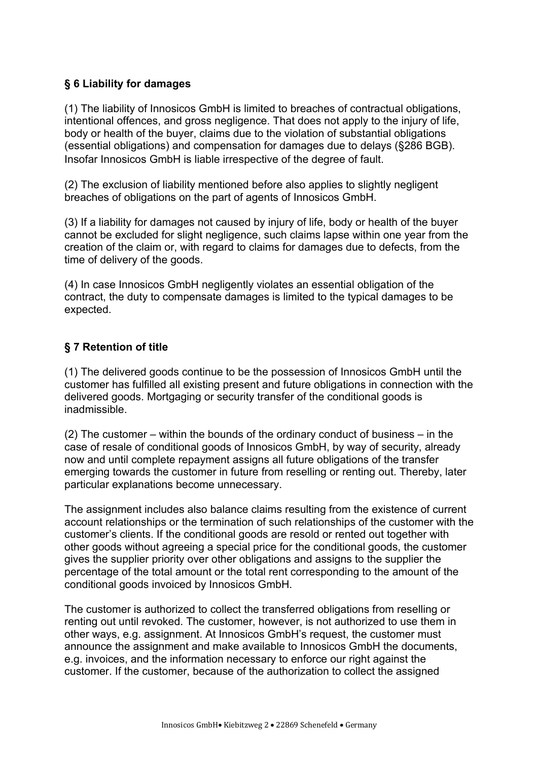### **§ 6 Liability for damages**

(1) The liability of Innosicos GmbH is limited to breaches of contractual obligations, intentional offences, and gross negligence. That does not apply to the injury of life, body or health of the buyer, claims due to the violation of substantial obligations (essential obligations) and compensation for damages due to delays (§286 BGB). Insofar Innosicos GmbH is liable irrespective of the degree of fault.

(2) The exclusion of liability mentioned before also applies to slightly negligent breaches of obligations on the part of agents of Innosicos GmbH.

(3) If a liability for damages not caused by injury of life, body or health of the buyer cannot be excluded for slight negligence, such claims lapse within one year from the creation of the claim or, with regard to claims for damages due to defects, from the time of delivery of the goods.

(4) In case Innosicos GmbH negligently violates an essential obligation of the contract, the duty to compensate damages is limited to the typical damages to be expected.

### **§ 7 Retention of title**

(1) The delivered goods continue to be the possession of Innosicos GmbH until the customer has fulfilled all existing present and future obligations in connection with the delivered goods. Mortgaging or security transfer of the conditional goods is inadmissible.

(2) The customer – within the bounds of the ordinary conduct of business – in the case of resale of conditional goods of Innosicos GmbH, by way of security, already now and until complete repayment assigns all future obligations of the transfer emerging towards the customer in future from reselling or renting out. Thereby, later particular explanations become unnecessary.

The assignment includes also balance claims resulting from the existence of current account relationships or the termination of such relationships of the customer with the customer's clients. If the conditional goods are resold or rented out together with other goods without agreeing a special price for the conditional goods, the customer gives the supplier priority over other obligations and assigns to the supplier the percentage of the total amount or the total rent corresponding to the amount of the conditional goods invoiced by Innosicos GmbH.

The customer is authorized to collect the transferred obligations from reselling or renting out until revoked. The customer, however, is not authorized to use them in other ways, e.g. assignment. At Innosicos GmbH's request, the customer must announce the assignment and make available to Innosicos GmbH the documents, e.g. invoices, and the information necessary to enforce our right against the customer. If the customer, because of the authorization to collect the assigned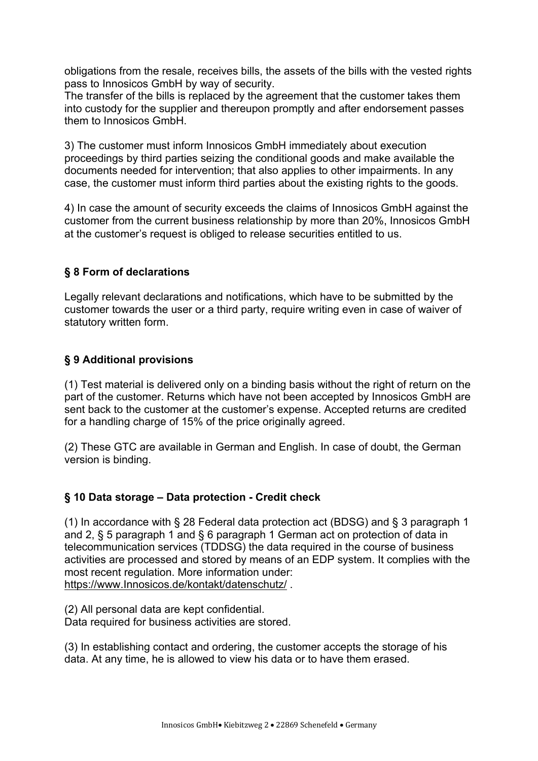obligations from the resale, receives bills, the assets of the bills with the vested rights pass to Innosicos GmbH by way of security.

The transfer of the bills is replaced by the agreement that the customer takes them into custody for the supplier and thereupon promptly and after endorsement passes them to Innosicos GmbH.

3) The customer must inform Innosicos GmbH immediately about execution proceedings by third parties seizing the conditional goods and make available the documents needed for intervention; that also applies to other impairments. In any case, the customer must inform third parties about the existing rights to the goods.

4) In case the amount of security exceeds the claims of Innosicos GmbH against the customer from the current business relationship by more than 20%, Innosicos GmbH at the customer's request is obliged to release securities entitled to us.

# **§ 8 Form of declarations**

Legally relevant declarations and notifications, which have to be submitted by the customer towards the user or a third party, require writing even in case of waiver of statutory written form.

# **§ 9 Additional provisions**

(1) Test material is delivered only on a binding basis without the right of return on the part of the customer. Returns which have not been accepted by Innosicos GmbH are sent back to the customer at the customer's expense. Accepted returns are credited for a handling charge of 15% of the price originally agreed.

(2) These GTC are available in German and English. In case of doubt, the German version is binding.

# **§ 10 Data storage – Data protection - Credit check**

(1) In accordance with § 28 Federal data protection act (BDSG) and § 3 paragraph 1 and 2, § 5 paragraph 1 and § 6 paragraph 1 German act on protection of data in telecommunication services (TDDSG) the data required in the course of business activities are processed and stored by means of an EDP system. It complies with the most recent regulation. More information under: https://www.Innosicos.de/kontakt/datenschutz/ .

(2) All personal data are kept confidential. Data required for business activities are stored.

(3) In establishing contact and ordering, the customer accepts the storage of his data. At any time, he is allowed to view his data or to have them erased.